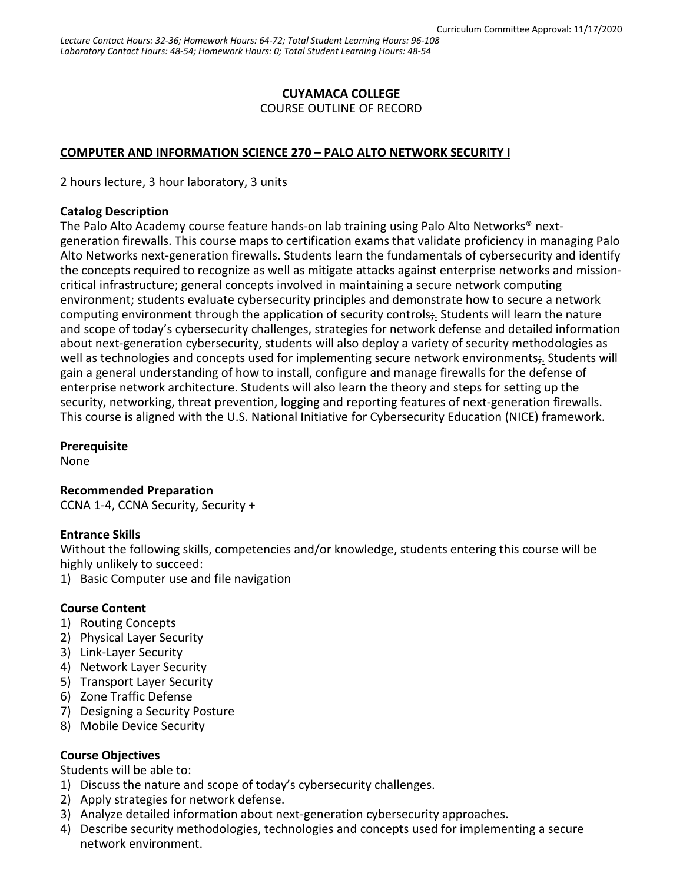# **CUYAMACA COLLEGE**

COURSE OUTLINE OF RECORD

### **COMPUTER AND INFORMATION SCIENCE 270 – PALO ALTO NETWORK SECURITY I**

2 hours lecture, 3 hour laboratory, 3 units

#### **Catalog Description**

The Palo Alto Academy course feature hands-on lab training using Palo Alto Networks® nextgeneration firewalls. This course maps to certification exams that validate proficiency in managing Palo Alto Networks next-generation firewalls. Students learn the fundamentals of cybersecurity and identify the concepts required to recognize as well as mitigate attacks against enterprise networks and missioncritical infrastructure; general concepts involved in maintaining a secure network computing environment; students evaluate cybersecurity principles and demonstrate how to secure a network computing environment through the application of security controls; Students will learn the nature and scope of today's cybersecurity challenges, strategies for network defense and detailed information about next-generation cybersecurity, students will also deploy a variety of security methodologies as well as technologies and concepts used for implementing secure network environments;. Students will gain a general understanding of how to install, configure and manage firewalls for the defense of enterprise network architecture. Students will also learn the theory and steps for setting up the security, networking, threat prevention, logging and reporting features of next-generation firewalls. This course is aligned with the U.S. National Initiative for Cybersecurity Education (NICE) framework.

#### **Prerequisite**

None

# **Recommended Preparation**

CCNA 1-4, CCNA Security, Security +

### **Entrance Skills**

Without the following skills, competencies and/or knowledge, students entering this course will be highly unlikely to succeed:

1) Basic Computer use and file navigation

### **Course Content**

- 1) Routing Concepts
- 2) Physical Layer Security
- 3) Link-Layer Security
- 4) Network Layer Security
- 5) Transport Layer Security
- 6) Zone Traffic Defense
- 7) Designing a Security Posture
- 8) Mobile Device Security

### **Course Objectives**

Students will be able to:

- 1) Discuss the nature and scope of today's cybersecurity challenges.
- 2) Apply strategies for network defense.
- 3) Analyze detailed information about next-generation cybersecurity approaches.
- 4) Describe security methodologies, technologies and concepts used for implementing a secure network environment.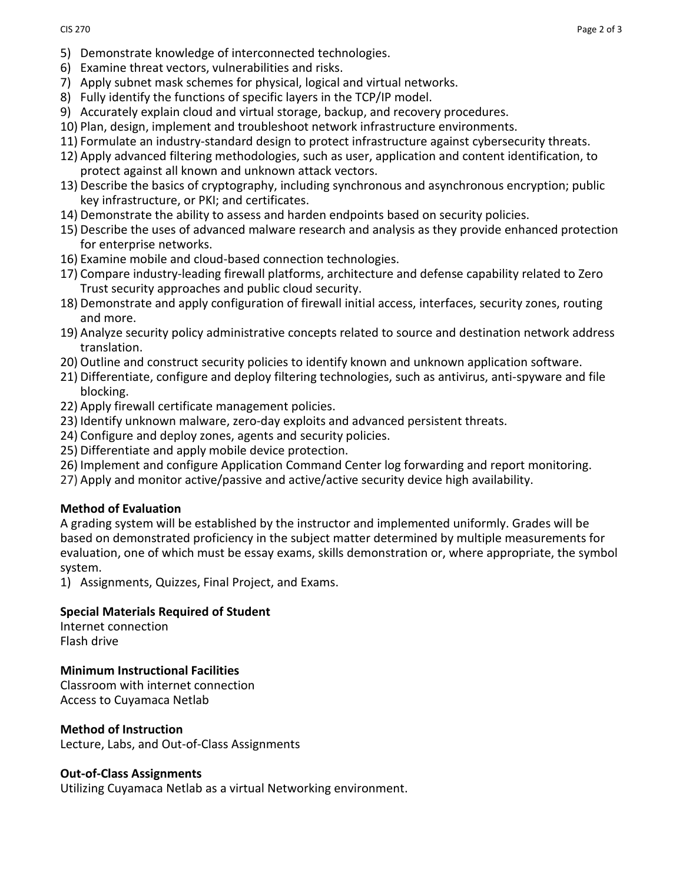- 5) Demonstrate knowledge of interconnected technologies.
- 6) Examine threat vectors, vulnerabilities and risks.
- 7) Apply subnet mask schemes for physical, logical and virtual networks.
- 8) Fully identify the functions of specific layers in the TCP/IP model.
- 9) Accurately explain cloud and virtual storage, backup, and recovery procedures.
- 10) Plan, design, implement and troubleshoot network infrastructure environments.
- 11) Formulate an industry-standard design to protect infrastructure against cybersecurity threats.
- 12) Apply advanced filtering methodologies, such as user, application and content identification, to protect against all known and unknown attack vectors.
- 13) Describe the basics of cryptography, including synchronous and asynchronous encryption; public key infrastructure, or PKI; and certificates.
- 14) Demonstrate the ability to assess and harden endpoints based on security policies.
- 15) Describe the uses of advanced malware research and analysis as they provide enhanced protection for enterprise networks.
- 16) Examine mobile and cloud-based connection technologies.
- 17) Compare industry-leading firewall platforms, architecture and defense capability related to Zero Trust security approaches and public cloud security.
- 18) Demonstrate and apply configuration of firewall initial access, interfaces, security zones, routing and more.
- 19) Analyze security policy administrative concepts related to source and destination network address translation.
- 20) Outline and construct security policies to identify known and unknown application software.
- 21) Differentiate, configure and deploy filtering technologies, such as antivirus, anti-spyware and file blocking.
- 22) Apply firewall certificate management policies.
- 23) Identify unknown malware, zero-day exploits and advanced persistent threats.
- 24) Configure and deploy zones, agents and security policies.
- 25) Differentiate and apply mobile device protection.
- 26) Implement and configure Application Command Center log forwarding and report monitoring.
- 27) Apply and monitor active/passive and active/active security device high availability.

# **Method of Evaluation**

A grading system will be established by the instructor and implemented uniformly. Grades will be based on demonstrated proficiency in the subject matter determined by multiple measurements for evaluation, one of which must be essay exams, skills demonstration or, where appropriate, the symbol system.

1) Assignments, Quizzes, Final Project, and Exams.

### **Special Materials Required of Student**

Internet connection Flash drive

# **Minimum Instructional Facilities**

Classroom with internet connection Access to Cuyamaca Netlab

### **Method of Instruction**

Lecture, Labs, and Out-of-Class Assignments

### **Out-of-Class Assignments**

Utilizing Cuyamaca Netlab as a virtual Networking environment.